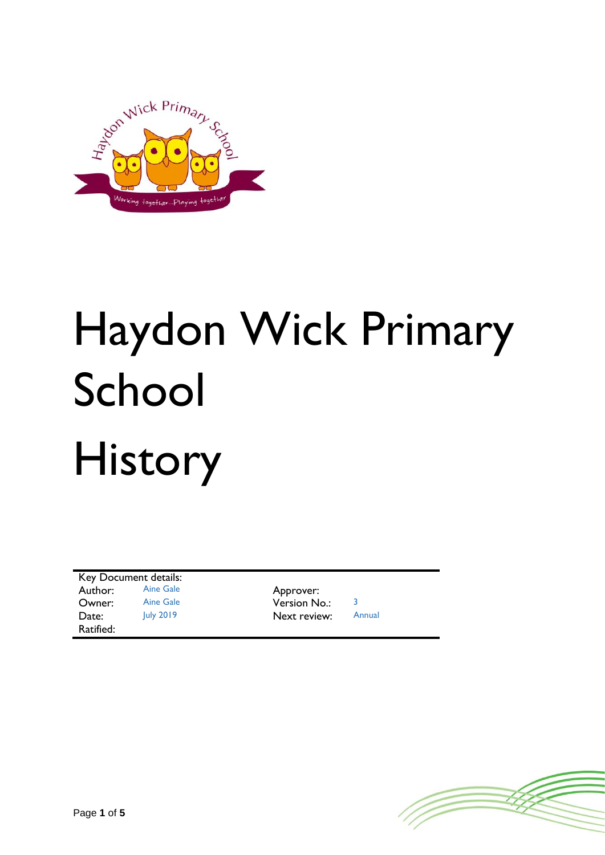

# Haydon Wick Primary School History

Key Document details: Author: Aine Gale Approver:<br>
Owner: Aine Gale Annual Version N **Owner:** Aine Gale **Version No.:** 3 Date: July 2019 Next review: Annual Ratified:

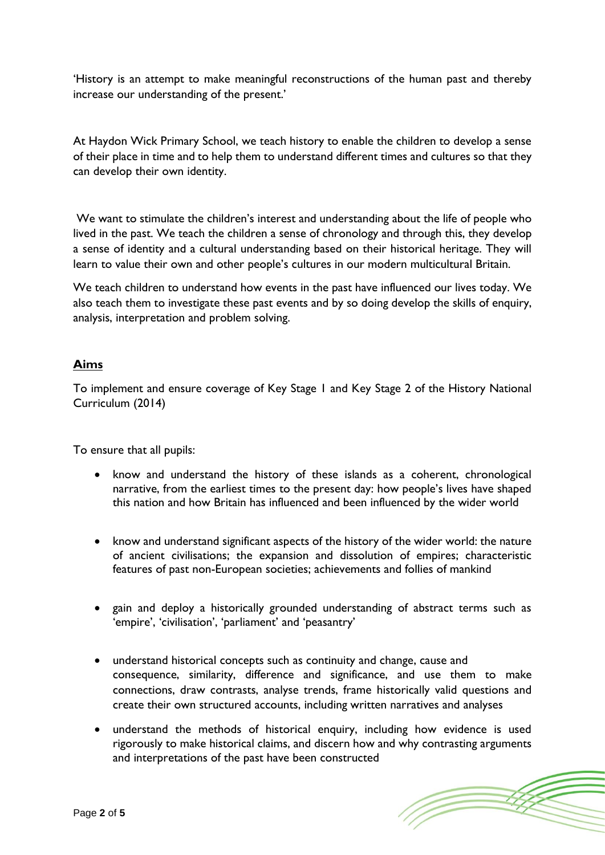'History is an attempt to make meaningful reconstructions of the human past and thereby increase our understanding of the present.'

At Haydon Wick Primary School, we teach history to enable the children to develop a sense of their place in time and to help them to understand different times and cultures so that they can develop their own identity.

We want to stimulate the children's interest and understanding about the life of people who lived in the past. We teach the children a sense of chronology and through this, they develop a sense of identity and a cultural understanding based on their historical heritage. They will learn to value their own and other people's cultures in our modern multicultural Britain.

We teach children to understand how events in the past have influenced our lives today. We also teach them to investigate these past events and by so doing develop the skills of enquiry, analysis, interpretation and problem solving.

## **Aims**

To implement and ensure coverage of Key Stage 1 and Key Stage 2 of the History National Curriculum (2014)

To ensure that all pupils:

- know and understand the history of these islands as a coherent, chronological narrative, from the earliest times to the present day: how people's lives have shaped this nation and how Britain has influenced and been influenced by the wider world
- know and understand significant aspects of the history of the wider world: the nature of ancient civilisations; the expansion and dissolution of empires; characteristic features of past non-European societies; achievements and follies of mankind
- gain and deploy a historically grounded understanding of abstract terms such as 'empire', 'civilisation', 'parliament' and 'peasantry'
- understand historical concepts such as continuity and change, cause and consequence, similarity, difference and significance, and use them to make connections, draw contrasts, analyse trends, frame historically valid questions and create their own structured accounts, including written narratives and analyses
- understand the methods of historical enquiry, including how evidence is used rigorously to make historical claims, and discern how and why contrasting arguments and interpretations of the past have been constructed

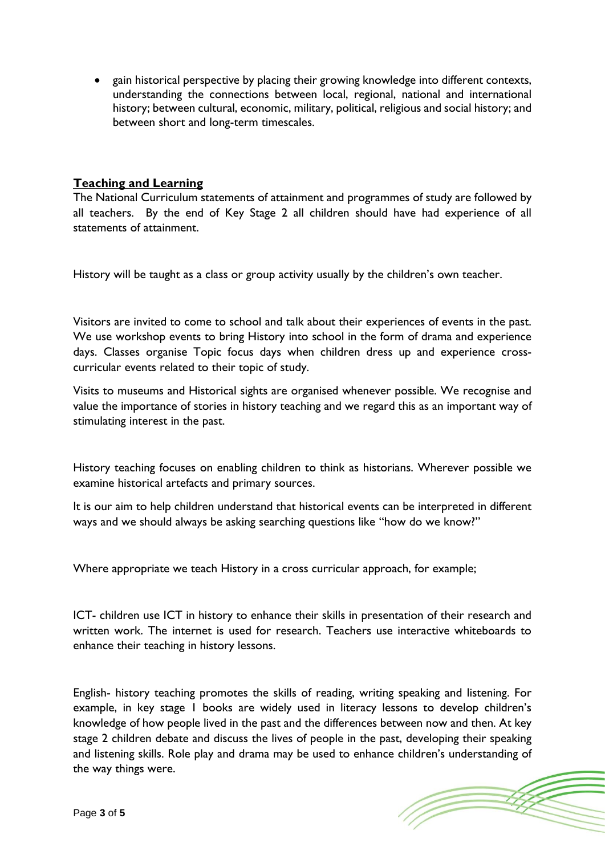• gain historical perspective by placing their growing knowledge into different contexts, understanding the connections between local, regional, national and international history; between cultural, economic, military, political, religious and social history; and between short and long-term timescales.

### **Teaching and Learning**

The National Curriculum statements of attainment and programmes of study are followed by all teachers. By the end of Key Stage 2 all children should have had experience of all statements of attainment.

History will be taught as a class or group activity usually by the children's own teacher.

Visitors are invited to come to school and talk about their experiences of events in the past. We use workshop events to bring History into school in the form of drama and experience days. Classes organise Topic focus days when children dress up and experience crosscurricular events related to their topic of study.

Visits to museums and Historical sights are organised whenever possible. We recognise and value the importance of stories in history teaching and we regard this as an important way of stimulating interest in the past.

History teaching focuses on enabling children to think as historians. Wherever possible we examine historical artefacts and primary sources.

It is our aim to help children understand that historical events can be interpreted in different ways and we should always be asking searching questions like "how do we know?"

Where appropriate we teach History in a cross curricular approach, for example;

ICT- children use ICT in history to enhance their skills in presentation of their research and written work. The internet is used for research. Teachers use interactive whiteboards to enhance their teaching in history lessons.

English- history teaching promotes the skills of reading, writing speaking and listening. For example, in key stage 1 books are widely used in literacy lessons to develop children's knowledge of how people lived in the past and the differences between now and then. At key stage 2 children debate and discuss the lives of people in the past, developing their speaking and listening skills. Role play and drama may be used to enhance children's understanding of the way things were.

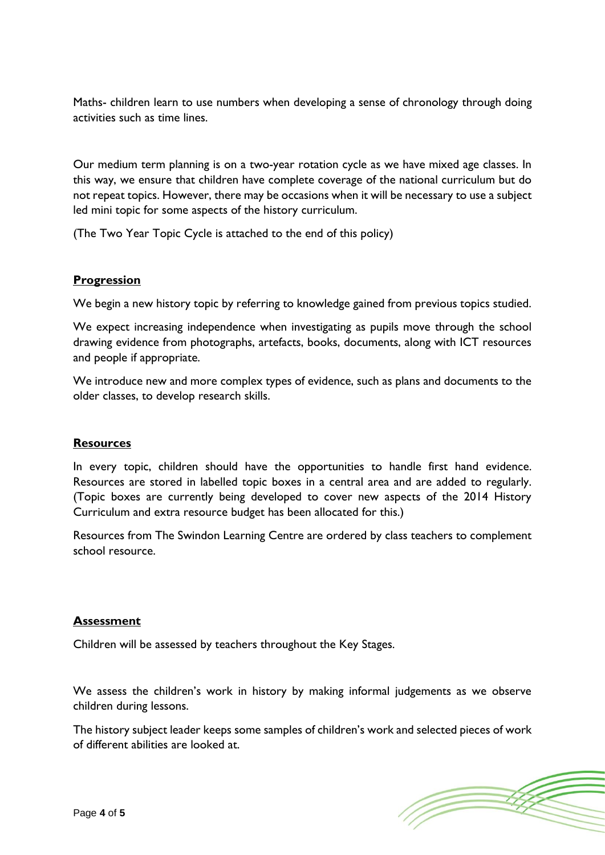Maths- children learn to use numbers when developing a sense of chronology through doing activities such as time lines.

Our medium term planning is on a two-year rotation cycle as we have mixed age classes. In this way, we ensure that children have complete coverage of the national curriculum but do not repeat topics. However, there may be occasions when it will be necessary to use a subject led mini topic for some aspects of the history curriculum.

(The Two Year Topic Cycle is attached to the end of this policy)

### **Progression**

We begin a new history topic by referring to knowledge gained from previous topics studied.

We expect increasing independence when investigating as pupils move through the school drawing evidence from photographs, artefacts, books, documents, along with ICT resources and people if appropriate.

We introduce new and more complex types of evidence, such as plans and documents to the older classes, to develop research skills.

### **Resources**

In every topic, children should have the opportunities to handle first hand evidence. Resources are stored in labelled topic boxes in a central area and are added to regularly. (Topic boxes are currently being developed to cover new aspects of the 2014 History Curriculum and extra resource budget has been allocated for this.)

Resources from The Swindon Learning Centre are ordered by class teachers to complement school resource.

### **Assessment**

Children will be assessed by teachers throughout the Key Stages.

We assess the children's work in history by making informal judgements as we observe children during lessons.

The history subject leader keeps some samples of children's work and selected pieces of work of different abilities are looked at.